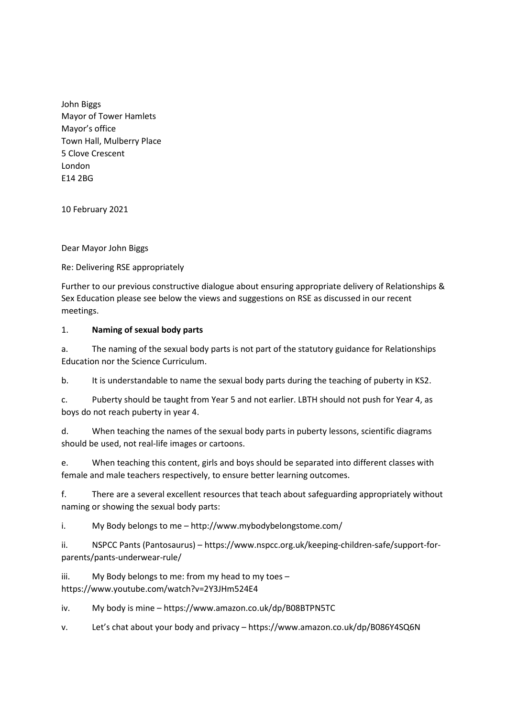John Biggs Mayor of Tower Hamlets Mayor's office Town Hall, Mulberry Place 5 Clove Crescent London E14 2BG

10 February 2021

Dear Mayor John Biggs

Re: Delivering RSE appropriately

Further to our previous constructive dialogue about ensuring appropriate delivery of Relationships & Sex Education please see below the views and suggestions on RSE as discussed in our recent meetings.

## 1. **Naming of sexual body parts**

a. The naming of the sexual body parts is not part of the statutory guidance for Relationships Education nor the Science Curriculum.

b. It is understandable to name the sexual body parts during the teaching of puberty in KS2.

c. Puberty should be taught from Year 5 and not earlier. LBTH should not push for Year 4, as boys do not reach puberty in year 4.

d. When teaching the names of the sexual body parts in puberty lessons, scientific diagrams should be used, not real-life images or cartoons.

e. When teaching this content, girls and boys should be separated into different classes with female and male teachers respectively, to ensure better learning outcomes.

f. There are a several excellent resources that teach about safeguarding appropriately without naming or showing the sexual body parts:

i. My Body belongs to me – http://www.mybodybelongstome.com/

ii. NSPCC Pants (Pantosaurus) – https://www.nspcc.org.uk/keeping-children-safe/support-forparents/pants-underwear-rule/

iii. My Body belongs to me: from my head to my toes – https://www.youtube.com/watch?v=2Y3JHm524E4

iv. My body is mine – https://www.amazon.co.uk/dp/B08BTPN5TC

v. Let's chat about your body and privacy – https://www.amazon.co.uk/dp/B086Y4SQ6N